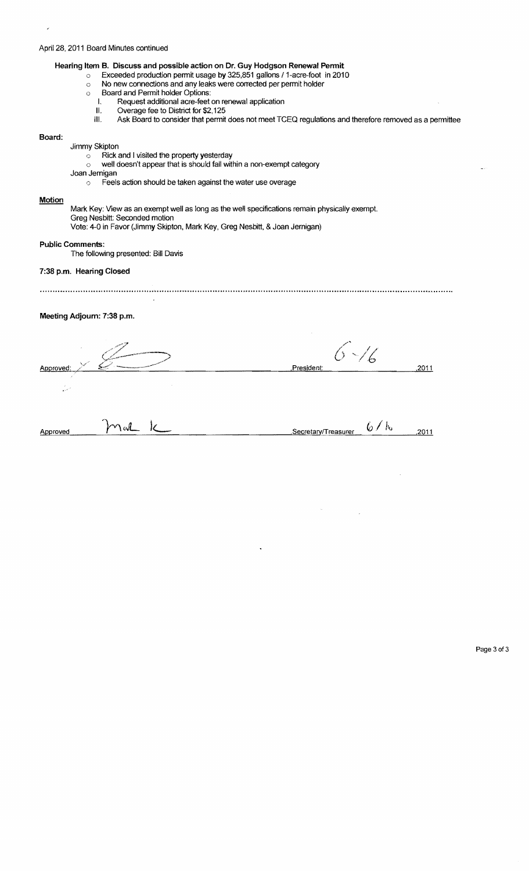## April 28, 2011 Board Minutes continued

|  |  | Hearing Item B. Discuss and possible action on Dr. Guy Hodgson Renewal Permit |
|--|--|-------------------------------------------------------------------------------|
|--|--|-------------------------------------------------------------------------------|

- o Exceeded production permit usage by 325,851 gallons 11-acre-foot in 2010
- o No new connections and any leaks were corrected per permit holder
- o Board and Permit holder Options:
	- I. Request additional acre-feet on renewal application<br>II. Overage fee to District for \$2,125
	- II. Overage fee to District for \$2,125<br>III. Ask Board to consider that permit
	- Ask Board to consider that permit does not meet TCEQ regulations and therefore removed as a permittee

### Board:

J.

# Jimmy Skipton

- o Rick and I visited the property yesterday
- $\circ$  well doesn't appear that is should fall within a non-exempt category
- Joan Jemigan
	- o Feels action should be taken against the water use overage

#### **Motion**

Mark Key: View as an exempt well as long as the well specifications remain physically exempt.

Greg Nesbitt: Seconded motion

Vote: 4-0 in Favor (Jimmy Skipton, Mark Key, Greg Nesbitt, & Joan Jemigan)

#### Public Comments:

The following presented: Bill Davis

### 7:38 p.m. Hearing Closed

## Meeting Adjourn: 7:38 p.m.

| COLORADO A MANDRIDE        |             | <b>SALE</b>         |                 |
|----------------------------|-------------|---------------------|-----------------|
| Approved:                  | $\sim$      | President:          | ,2011           |
| $\mathcal{F}$<br>المحاليات |             |                     |                 |
| Approved                   | $\gamma$ or | Secretary/Treasurer | 6<br>代<br>,2011 |

Page 3 of 3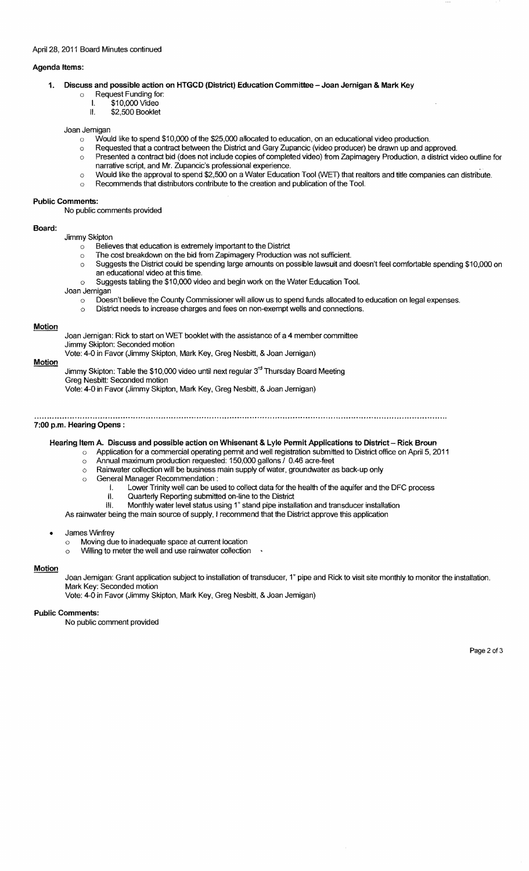### April 28, 2011 Board Minutes continued

### Agenda Items:

- 1. Discuss and possible action on HTGCD (District) Education Committee Joan Jernigan & Mark Key
	- o Request Funding for:
		- I. \$10,000 Video
		- \$2,500 Booklet

#### Joan Jemigan

- $\circ$  Would like to spend \$10,000 of the \$25,000 allocated to education, on an educational video production.
- o Requested that a contract between the District and Gary Zupancic (video producer) be drawn up and approved.
- $\circ$  Presented a contract bid (does not include copies of completed video) from Zapimagery Production, a district video outline for narrative script. and Mr. Zupancic's professional experience.
- o Would like the approval to spend \$2,500 on a Water Education Tool (WET) that realtors and title companies can distribute.
- o Recommends that distributors contribute to the creation and publication of the Tool.

#### Public Comments:

No public comments provided

#### Board:

Jimmy Skipton

- $\circ$  Believes that education is extremely important to the District
- o The cost breakdown on the bid from Zapimagery Production was not sufficient.
- o Suggests the District could be spending large amounts on possible lawsuit and doesn't feel comfortable spending \$10,000 on an educational video at this time.
- o Suggests tabling the \$10,000 video and begin work on the Water Education Tool.

#### Joan Jernigan

- $\circ$  Doesn't believe the County Commissioner will allow us to spend funds allocated to education on legal expenses.
- o District needs to increase charges and fees on non-exempt wells and connections.

#### Motion

Joan Jernigan: Rick to start on WET booklet with the assistance of a 4 member committee

Jimmy Skipton: Seconded motion Vote: 4-0 in Favor (Jimmy Skipton, Mark Key, Greg Nesbitt, & Joan Jernigan)

**Motion** 

Jimmy Skipton: Table the \$10,000 video until next regular 3 $^{\text{rd}}$  Thursday Board Meeting

Greg Nesbitt: Seconded motion

Vote: 4-0 in Favor (Jimmy Skipton, Mark Key, Greg Nesbitt, & Joan Jernigan)

7:00 p.m. Hearing Opens:

## Hearing Item A. Discuss and possible action on Whisenant & Lyle Permit Applications to District - Rick Broun

- Application for a commercial operating permit and well registration submitted to District office on April 5, 2011
	- o Annual maximum production requested: 150,000 gallons / 0.46 acre-feet
	- $\circ$  Rainwater collection will be business main supply of water, groundwater as back-up only
	- o General Manager Recommendation:<br>i. Lower Trinity well can be use
		- I. Lower Trinity well can be used to collect data for the health of the aquifer and the DFC process
		- II. Quarterly Reporting submitted on-line to the District
		- III. Monthly water level status using 1" stand pipe installation and transducer installation

As rainwater being the main source of supply, I recommend that the District approve this application

- James Winfrey
	- o Moving due to inadequate space at current location
	- $\circ$  Willing to meter the well and use rainwater collection  $\cdot$

#### **Motion**

Joan Jemigan: Grant application subject to installation of transducer, 1" pipe and Rick to visit site monthly to monitor the installation. Mark Key: Seconded motion

Vote: 4-0 in Favor (Jimmy Skipton, Mark Key, Greg Nesbitt, & Joan Jemigan)

#### Public Comments:

No public comment provided